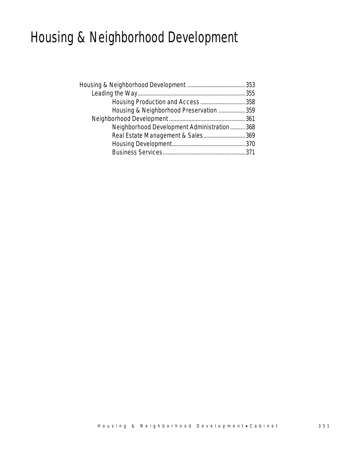## Housing & Neighborhood Development

| Housing & Neighborhood Preservation 359    |  |
|--------------------------------------------|--|
|                                            |  |
| Neighborhood Development Administration368 |  |
| Real Estate Management & Sales369          |  |
|                                            |  |
|                                            |  |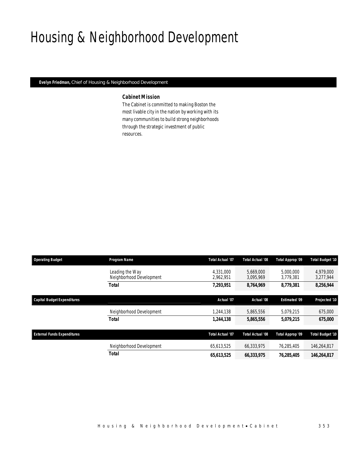## Housing & Neighborhood Development

*Evelyn Friedman, Chief of Housing & Neighborhood Development* 

## *Cabinet Mission*

The Cabinet is committed to making Boston the most livable city in the nation by working with its many communities to build strong neighborhoods through the strategic investment of public resources.

| <b>Operating Budget</b>            | Program Name                                | <b>Total Actual '07</b> | <b>Total Actual '08</b> | Total Approp '09       | <b>Total Budget '10</b> |
|------------------------------------|---------------------------------------------|-------------------------|-------------------------|------------------------|-------------------------|
|                                    | Leading the Way<br>Neighborhood Development | 4.331.000<br>2,962,951  | 5,669,000<br>3,095,969  | 5,000,000<br>3,779,381 | 4.979.000<br>3,277,944  |
|                                    | <b>Total</b>                                | 7,293,951               | 8,764,969               | 8,779,381              | 8,256,944               |
| <b>Capital Budget Expenditures</b> |                                             | Actual '07              | Actual '08              | <b>Estimated '09</b>   | Projected '10           |
|                                    | Neighborhood Development                    | 1,244,138               | 5,865,556               | 5,079,215              | 675,000                 |
|                                    | <b>Total</b>                                | 1,244,138               | 5,865,556               | 5,079,215              | 675,000                 |
| <b>External Funds Expenditures</b> |                                             | <b>Total Actual '07</b> | Total Actual '08        | Total Approp '09       | <b>Total Budget '10</b> |
|                                    | Neighborhood Development                    | 65,613,525              | 66,333,975              | 76,285,405             | 146,264,817             |
|                                    | <b>Total</b>                                | 65,613,525              | 66,333,975              | 76,285,405             | 146,264,817             |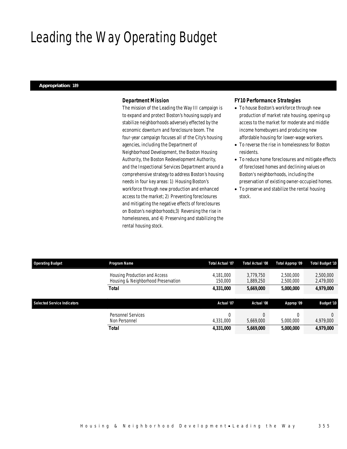## Leading the Way Operating Budget

### *Appropriation: 189*

## *Department Mission*

The mission of the Leading the Way III campaign is to expand and protect Boston's housing supply and stabilize neighborhoods adversely effected by the economic downturn and foreclosure boom. The four-year campaign focuses all of the City's housing agencies, including the Department of Neighborhood Development, the Boston Housing Authority, the Boston Redevelopment Authority, and the Inspectional Services Department around a comprehensive strategy to address Boston's housing needs in four key areas: 1) Housing Boston's workforce through new production and enhanced access to the market; 2) Preventing foreclosures and mitigating the negative effects of foreclosures on Boston's neighborhoods;3) Reversing the rise in homelessness, and 4) Preserving and stabilizing the rental housing stock.

### *FY10 Performance Strategies*

- To house Boston's workforce through new production of market rate housing, opening up access to the market for moderate and middle income homebuyers and producing new affordable housing for lower-wage workers.
- To reverse the rise in homelessness for Boston residents.
- To reduce home foreclosures and mitigate effects of foreclosed homes and declining values on Boston's neighborhoods, including the preservation of existing owner-occupied homes.
- To preserve and stabilize the rental housing stock.

| <b>Operating Budget</b>            | Program Name                                                         | <b>Total Actual '07</b> | <b>Total Actual '08</b> | Total Approp '09       | <b>Total Budget '10</b> |
|------------------------------------|----------------------------------------------------------------------|-------------------------|-------------------------|------------------------|-------------------------|
|                                    | Housing Production and Access<br>Housing & Neighborhood Preservation | 4.181.000<br>150,000    | 3.779.750<br>1,889,250  | 2.500.000<br>2,500,000 | 2,500,000<br>2,479,000  |
|                                    | <b>Total</b>                                                         | 4,331,000               | 5,669,000               | 5,000,000              | 4,979,000               |
|                                    |                                                                      |                         |                         |                        |                         |
|                                    |                                                                      |                         |                         |                        |                         |
| <b>Selected Service Indicators</b> |                                                                      | Actual '07              | Actual '08              | Approp '09             | <b>Budget '10</b>       |
|                                    | Personnel Services                                                   | $\Omega$                |                         |                        |                         |
|                                    | Non Personnel                                                        | 4,331,000               | 5.669.000               | 5,000,000              | 4,979,000               |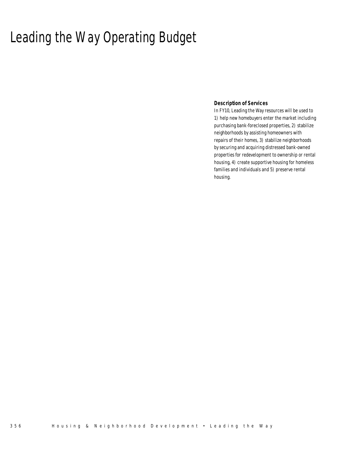## Leading the Way Operating Budget

## *Description of Services*

In FY10, Leading the Way resources will be used to 1) help new homebuyers enter the market including purchasing bank-foreclosed properties, 2) stabilize neighborhoods by assisting homeowners with repairs of their homes, 3) stabilize neighborhoods by securing and acquiring distressed bank-owned properties for redevelopment to ownership or rental housing, 4) create supportive housing for homeless families and individuals and 5) preserve rental housing.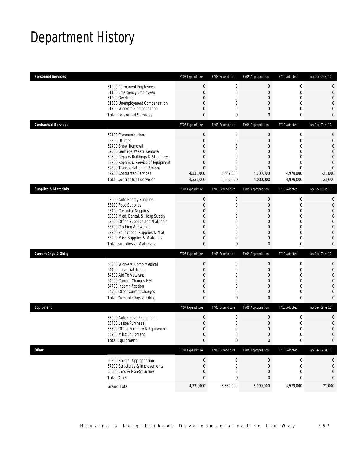## Department History

| <b>Personnel Services</b>       |                                                                | FY07 Expenditure                 | FY08 Expenditure              | FY09 Appropriation          | FY10 Adopted                     | Inc/Dec 09 vs 10 |
|---------------------------------|----------------------------------------------------------------|----------------------------------|-------------------------------|-----------------------------|----------------------------------|------------------|
|                                 | 51000 Permanent Employees                                      | $\boldsymbol{0}$                 | $\mathbf 0$                   | $\boldsymbol{0}$            | $\boldsymbol{0}$                 | 0                |
|                                 | 51100 Emergency Employees                                      | $\boldsymbol{0}$                 | $\mathbf 0$                   | $\theta$                    | $\mathbf 0$                      | 0                |
|                                 | 51200 Overtime                                                 | $\boldsymbol{0}$                 | 0                             | $\mathbf{0}$                | $\mathbf 0$                      | $\overline{0}$   |
|                                 | 51600 Unemployment Compensation                                | 0<br>0                           | 0<br>0                        | 0<br>$\theta$               | $\overline{0}$<br>$\overline{0}$ | 0<br>0           |
|                                 | 51700 Workers' Compensation<br><b>Total Personnel Services</b> | $\mathbf{0}$                     | 0                             | 0                           | $\bf{0}$                         | 0                |
| <b>Contractual Services</b>     |                                                                | FY07 Expenditure                 | FY08 Expenditure              | FY09 Appropriation          | FY10 Adopted                     | Inc/Dec 09 vs 10 |
|                                 |                                                                |                                  |                               |                             |                                  |                  |
|                                 | 52100 Communications                                           | $\boldsymbol{0}$                 | $\boldsymbol{0}$              | $\boldsymbol{0}$            | $\boldsymbol{0}$                 | 0                |
|                                 | 52200 Utilities<br>52400 Snow Removal                          | $\boldsymbol{0}$<br>0            | $\mathbf 0$<br>0              | $\mathbf{0}$<br>0           | $\mathbf 0$<br>$\Omega$          | $\mathbf 0$<br>0 |
|                                 | 52500 Garbage/Waste Removal                                    | 0                                | $\overline{0}$                | $\overline{0}$              | $\overline{0}$                   | 0                |
|                                 | 52600 Repairs Buildings & Structures                           | 0                                | 0                             | 0                           | $\Omega$                         | 0                |
|                                 | 52700 Repairs & Service of Equipment                           | $\boldsymbol{0}$                 | $\overline{0}$                | $\mathbf{0}$                | $\mathbf{0}$                     | $\overline{0}$   |
|                                 | 52800 Transportation of Persons                                | $\mathbf{0}$                     | $\overline{0}$                | $\mathbf{0}$                | $\mathbf{0}$                     | $\overline{0}$   |
|                                 | 52900 Contracted Services                                      | 4,331,000                        | 5,669,000                     | 5,000,000                   | 4,979,000                        | $-21,000$        |
|                                 | <b>Total Contractual Services</b>                              | 4,331,000                        | 5,669,000                     | 5,000,000                   | 4,979,000                        | $-21,000$        |
| <b>Supplies &amp; Materials</b> |                                                                | FY07 Expenditure                 | FY08 Expenditure              | FY09 Appropriation          | FY10 Adopted                     | Inc/Dec 09 vs 10 |
|                                 | 53000 Auto Energy Supplies                                     | $\boldsymbol{0}$                 | $\boldsymbol{0}$              | $\boldsymbol{0}$            | $\boldsymbol{0}$                 | 0                |
|                                 | 53200 Food Supplies                                            | $\boldsymbol{0}$                 | $\mathbf 0$                   | $\mathbf{0}$                | $\mathbf 0$                      | $\mathbf 0$      |
|                                 | 53400 Custodial Supplies                                       | 0                                | 0                             | 0                           | $\mathbf 0$                      | 0                |
|                                 | 53500 Med, Dental, & Hosp Supply                               | 0                                | $\mathbf 0$                   | $\overline{0}$              | $\mathbf{0}$                     | 0                |
|                                 | 53600 Office Supplies and Materials                            | 0                                | 0                             | 0                           | $\mathbf 0$                      | 0                |
|                                 | 53700 Clothing Allowance                                       | 0                                | 0                             | $\theta$                    | $\mathbf{0}$                     | $\overline{0}$   |
|                                 | 53800 Educational Supplies & Mat                               | 0                                | $\overline{0}$                | $\overline{0}$              | $\mathbf{0}$                     | 0                |
|                                 | 53900 Misc Supplies & Materials                                | 0                                | 0                             | $\theta$                    | $\mathbf{0}$                     | 0                |
|                                 | <b>Total Supplies &amp; Materials</b>                          | $\mathbf{0}$                     | 0                             | 0                           | $\bf{0}$                         | 0                |
| <b>Current Chgs &amp; Oblig</b> |                                                                | FY07 Expenditure                 | FY08 Expenditure              | FY09 Appropriation          | FY10 Adopted                     | Inc/Dec 09 vs 10 |
|                                 | 54300 Workers' Comp Medical                                    | $\boldsymbol{0}$                 | $\boldsymbol{0}$              | $\boldsymbol{0}$            | $\boldsymbol{0}$                 | 0                |
|                                 | 54400 Legal Liabilities                                        | $\boldsymbol{0}$                 | $\mathbf 0$                   | $\mathbf{0}$                | $\mathbf{0}$                     | $\mathbf 0$      |
|                                 | 54500 Aid To Veterans                                          | 0                                | 0                             | 0                           | $\overline{0}$                   | 0                |
|                                 | 54600 Current Charges H&I                                      | 0                                | $\mathbf 0$                   | $\overline{0}$              | $\mathbf{0}$                     | 0                |
|                                 | 54700 Indemnification                                          | $\mathbf{0}$                     | 0                             | 0                           | $\overline{0}$                   | 0                |
|                                 | 54900 Other Current Charges<br>Total Current Chgs & Oblig      | $\boldsymbol{0}$<br>$\mathbf{0}$ | $\mathbf 0$<br>$\overline{0}$ | $\mathbf 0$<br>$\mathbf{0}$ | $\mathbf 0$<br>$\bf{0}$          | 0<br>0           |
|                                 |                                                                |                                  |                               |                             |                                  |                  |
| Equipment                       |                                                                | FY07 Expenditure                 | FY08 Expenditure              | FY09 Appropriation          | FY10 Adopted                     | Inc/Dec 09 vs 10 |
|                                 | 55000 Automotive Equipment                                     | $\boldsymbol{0}$                 | $\boldsymbol{0}$              | $\boldsymbol{0}$            | $\boldsymbol{0}$                 | 0                |
|                                 | 55400 Lease/Purchase                                           | $\overline{0}$                   | 0                             | $\mathbf{0}$                | $\mathbf 0$                      | $\mathbf{0}$     |
|                                 | 55600 Office Furniture & Equipment                             | $\boldsymbol{0}$                 | 0                             | $\boldsymbol{0}$            | $\boldsymbol{0}$                 | $\mathbf 0$      |
|                                 | 55900 Misc Equipment                                           | $\boldsymbol{0}$                 | $\boldsymbol{0}$              | $\mathbf{0}$                | $\boldsymbol{0}$                 | 0                |
|                                 | <b>Total Equipment</b>                                         | $\pmb{0}$                        | 0                             | $\pmb{0}$                   | 0                                | 0                |
| Other                           |                                                                | FY07 Expenditure                 | FY08 Expenditure              | FY09 Appropriation          | FY10 Adopted                     | Inc/Dec 09 vs 10 |
|                                 | 56200 Special Appropriation                                    | $\boldsymbol{0}$                 | 0                             | $\theta$                    | 0                                | 0                |
|                                 | 57200 Structures & Improvements                                | $\boldsymbol{0}$                 | 0                             | $\mathbf 0$                 | $\mathbf 0$                      | 0                |
|                                 | 58000 Land & Non-Structure                                     | $\boldsymbol{0}$                 | 0                             | $\theta$                    | $\mathbf{0}$                     | 0                |
|                                 | <b>Total Other</b>                                             | $\pmb{0}$                        | 0                             | $\bf{0}$                    | 0                                | 0                |
|                                 | <b>Grand Total</b>                                             | 4,331,000                        | 5,669,000                     | 5,000,000                   | 4,979,000                        | $-21,000$        |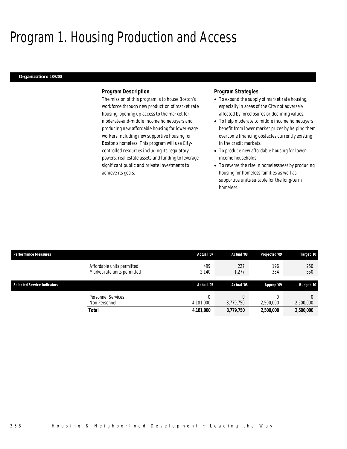## Program 1. Housing Production and Access

### *Organization: 189200*

### *Program Description*

The mission of this program is to house Boston's workforce through new production of market rate housing, opening up access to the market for moderate-and-middle income homebuyers and producing new affordable housing for lower-wage workers including new supportive housing for Boston's homeless. This program will use Citycontrolled resources including its regulatory powers, real estate assets and funding to leverage significant public and private investments to achieve its goals.

### *Program Strategies*

- To expand the supply of market rate housing, especially in areas of the City not adversely affected by foreclosures or declining values.
- To help moderate to middle income homebuyers benefit from lower market prices by helping them overcome financing obstacles currently existing in the credit markets.
- To produce new affordable housing for lowerincome households.
- To reverse the rise in homelessness by producing housing for homeless families as well as supportive units suitable for the long-term homeless.

| <b>Performance Measures</b> |                                                           | Actual '07   | Actual '08   | Projected '09 | Target '10        |  |
|-----------------------------|-----------------------------------------------------------|--------------|--------------|---------------|-------------------|--|
|                             | Affordable units permitted<br>Market-rate units permitted | 499<br>2,140 | 227<br>1,277 | 196<br>334    | 250<br>550        |  |
| Selected Service Indicators |                                                           | Actual '07   | Actual '08   | Approp '09    | <b>Budget '10</b> |  |
|                             | Personnel Services<br>Non Personnel                       | 4,181,000    | 3,779,750    | 2,500,000     | 2,500,000         |  |
|                             | <b>Total</b>                                              | 4,181,000    | 3,779,750    | 2,500,000     | 2,500,000         |  |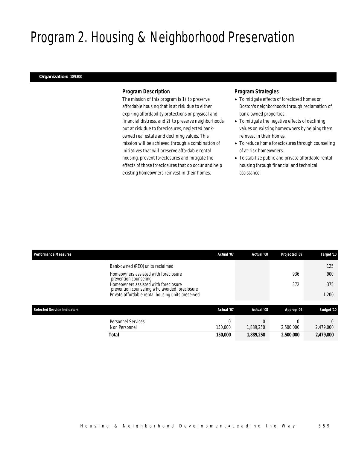## Program 2. Housing & Neighborhood Preservation

### *Organization: 189300*

### *Program Description*

The mission of this program is 1) to preserve affordable housing that is at risk due to either expiring affordability protections or physical and financial distress, and 2) to preserve neighborhoods put at risk due to foreclosures, neglected bankowned real estate and declining values. This mission will be achieved through a combination of initiatives that will preserve affordable rental housing, prevent foreclosures and mitigate the effects of those foreclosures that do occur and help existing homeowners reinvest in their homes.

## *Program Strategies*

- To mitigate effects of foreclosed homes on Boston's neighborhoods through reclamation of bank-owned properties.
- To mitigate the negative effects of declining values on existing homeowners by helping them reinvest in their homes.
- To reduce home foreclosures through counseling of at-risk homeowners.
- To stabilize public and private affordable rental housing through financial and technical assistance.

| <b>Performance Measures</b>        |                                                                                       | Actual '07 | Actual '08 | Projected '09 | Target '10 |
|------------------------------------|---------------------------------------------------------------------------------------|------------|------------|---------------|------------|
|                                    | Bank-owned (REO) units reclaimed                                                      |            |            |               | 125        |
|                                    | Homeowners assisted with foreclosure<br>prevention counseling                         |            |            | 936           | 900        |
|                                    | Homeowners assisted with foreclosure<br>prevention counseling who avoided foreclosure |            |            | 372           | 375        |
|                                    | Private affordable rental housing units preserved                                     |            |            |               | 1,200      |
| <b>Selected Service Indicators</b> |                                                                                       | Actual '07 | Actual '08 | Approp '09    | Budget '10 |
|                                    |                                                                                       |            |            |               |            |
|                                    | <b>Personnel Services</b>                                                             | $\Omega$   |            |               |            |
|                                    | Non Personnel                                                                         | 150,000    | 1,889,250  | 2,500,000     | 2,479,000  |
|                                    | <b>Total</b>                                                                          | 150,000    | 1,889,250  | 2,500,000     | 2,479,000  |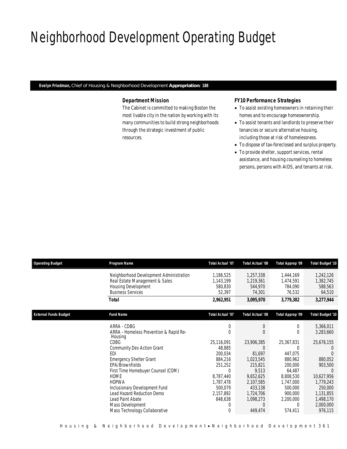## Neighborhood Development Operating Budget

*Evelyn Friedman, Chief of Housing & Neighborhood Development Appropriation: 188* 

## *Department Mission*

The Cabinet is committed to making Boston the most livable city in the nation by working with its many communities to build strong neighborhoods through the strategic investment of public resources.

## *FY10 Performance Strategies*

- To assist existing homeowners in retaining their homes and to encourage homeownership.
- To assist tenants and landlords to preserve their tenancies or secure alternative housing, including those at risk of homelessness.
- To dispose of tax-foreclosed and surplus property.
- To provide shelter, support services, rental assistance, and housing counseling to homeless persons, persons with AIDS, and tenants at risk.

| <b>Operating Budget</b>      | Program Name                                                                                                                                                                                                                                                                                                                                                                    | <b>Total Actual '07</b>                     | <b>Total Actual '08</b>                                                                                                                                         | Total Approp '09                                                                                                                                  | <b>Total Budget '10</b>                                                                                                                            |  |
|------------------------------|---------------------------------------------------------------------------------------------------------------------------------------------------------------------------------------------------------------------------------------------------------------------------------------------------------------------------------------------------------------------------------|---------------------------------------------|-----------------------------------------------------------------------------------------------------------------------------------------------------------------|---------------------------------------------------------------------------------------------------------------------------------------------------|----------------------------------------------------------------------------------------------------------------------------------------------------|--|
|                              | Neighborhood Development Administration<br>Real Estate Management & Sales<br><b>Housing Development</b><br><b>Business Services</b>                                                                                                                                                                                                                                             | 1,186,525<br>1,143,199<br>580,830<br>52,397 | 1,257,338<br>1,219,361<br>544,970<br>74,301                                                                                                                     | 1,444,169<br>1,474,591<br>784,090<br>76,532                                                                                                       | 1,242,126<br>1,382,745<br>588,563<br>64,510                                                                                                        |  |
|                              | Total                                                                                                                                                                                                                                                                                                                                                                           | 2,962,951                                   | 3,095,970                                                                                                                                                       | 3,779,382                                                                                                                                         | 3,277,944                                                                                                                                          |  |
| <b>External Funds Budget</b> | <b>Fund Name</b>                                                                                                                                                                                                                                                                                                                                                                | <b>Total Actual '07</b>                     | Total Actual '08                                                                                                                                                | Total Approp '09                                                                                                                                  | <b>Total Budget '10</b>                                                                                                                            |  |
|                              | ARRA - CDBG<br>ARRA - Homeless Prevention & Rapid Re-<br>Housing<br><b>CDBG</b><br>Community Dev Action Grant<br>EDI<br><b>Emergency Shelter Grant</b><br>EPA/Brownfields<br>First Time Homebuyer Counsel (COM)<br>HOME<br><b>HOPWA</b><br>Inclusionary Development Fund<br>Lead Hazard Reduction Demo<br>Lead Paint Abate<br>Mass Development<br>Mass Technology Collaborative |                                             | $\mathbf 0$<br>$\Omega$<br>23,906,385<br>81,697<br>1,023,545<br>215,821<br>9,513<br>9,652,625<br>2,107,585<br>433,138<br>1,724,706<br>1,098,273<br>0<br>449,474 | 0<br>0<br>25,367,831<br>0<br>447,075<br>880,962<br>200,000<br>64,487<br>8,808,530<br>1,747,000<br>500,000<br>900,000<br>2,200,000<br>0<br>574,411 | 5,366,011<br>3,283,660<br>25,676,155<br>880,052<br>903,500<br>10,627,956<br>1,779,243<br>250,000<br>1,131,855<br>1,498,170<br>2,000,000<br>976,115 |  |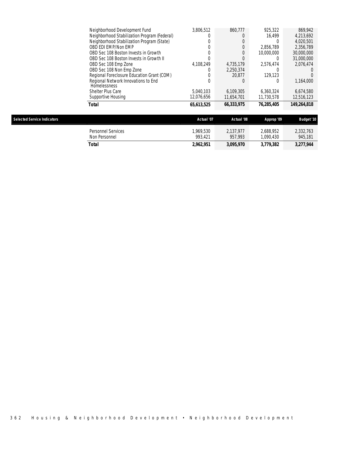| <b>Selected Service Indicators</b> |                                                            | Actual '07 | Actual '08 | Approp '09 | <b>Budget '10</b> |
|------------------------------------|------------------------------------------------------------|------------|------------|------------|-------------------|
|                                    | Total                                                      | 65,613,525 | 66,333,975 | 76.285.405 | 149,264,818       |
|                                    | Supportive Housing                                         | 12.076.656 | 11.654.701 | 11,730,578 | 12,516,123        |
|                                    | Shelter Plus Care                                          | 5.040.103  | 6.109.305  | 6.360.324  | 6,674,580         |
|                                    | Regional Network Innovations to End<br><b>Homelessness</b> |            |            |            | 1,164,000         |
|                                    | Regional Foreclosure Education Grant (COM)                 |            | 20.877     | 129.123    |                   |
|                                    | OBD Sec 108 Non Emp Zone                                   |            | 2.250.374  |            |                   |
|                                    | OBD Sec 108 Emp Zone                                       | 4,108,249  | 4.735.179  | 2.576.474  | 2,076,474         |
|                                    | OBD Sec 108 Boston Invests in Growth II                    |            |            |            | 31,000,000        |
|                                    | OBD Sec 108 Boston Invests in Growth                       |            |            | 10,000,000 | 30,000,000        |
|                                    | OBD EDI EMP/Non EMP                                        |            |            | 2.856.789  | 2,356,789         |
|                                    | Neighborhood Stabilization Program (State)                 |            |            |            | 4,020,501         |
|                                    | Neighborhood Stabilization Program (Federal)               |            |            | 16.499     | 4,213,692         |
|                                    | Neighborhood Development Fund                              | 3,806,512  | 860.777    | 925.322    | 869.942           |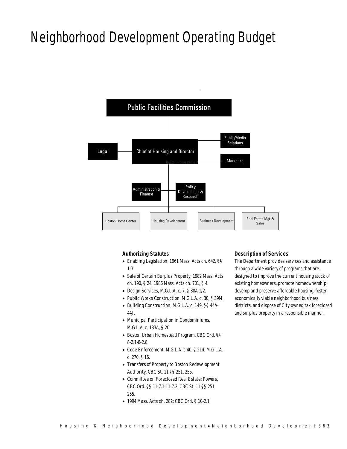## Neighborhood Development Operating Budget



## *Authorizing Statutes*

- Enabling Legislation, 1961 Mass. Acts ch. 642, §§ 1-3.
- Sale of Certain Surplus Property, 1982 Mass. Acts ch. 190, § 24; 1986 Mass. Acts ch. 701, § 4.
- Design Services, M.G.L.A. c. 7, § 38A 1/2.
- Public Works Construction, M.G.L.A. c. 30, § 39M.
- Building Construction, M.G.L.A. c. 149, §§ 44A-44J.
- Municipal Participation in Condominiums, M.G.L.A. c. 183A, § 20.
- Boston Urban Homestead Program, CBC Ord. §§ 8-2.1-8-2.8.
- Code Enforcement, M.G.L.A. c.40, § 21d; M.G.L.A. c. 270, § 16.
- Transfers of Property to Boston Redevelopment Authority, CBC St. 11 §§ 251, 255.
- Committee on Foreclosed Real Estate; Powers, CBC Ord. §§ 11-7.1-11-7.2; CBC St. 11 §§ 251, 255.
- 1994 Mass. Acts ch. 282; CBC Ord. § 10-2.1.

### *Description of Services*

The Department provides services and assistance through a wide variety of programs that are designed to improve the current housing stock of existing homeowners, promote homeownership, develop and preserve affordable housing, foster economically viable neighborhood business districts, and dispose of City-owned tax foreclosed and surplus property in a responsible manner.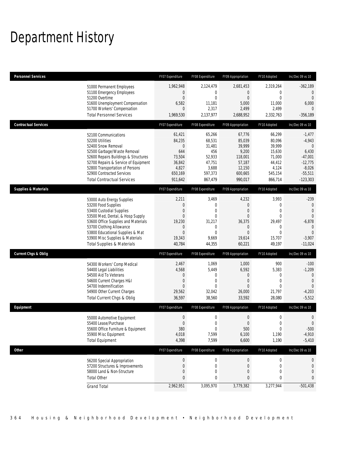## Department History

| Personnel Services              |                                                                                                                                                                                                                                                                                                      | FY07 Expenditure                                                                                                 | FY08 Expenditure                                                                                          | FY09 Appropriation                                                                                                       | FY10 Adopted                                                                                        | Inc/Dec 09 vs 10                                                                                                             |
|---------------------------------|------------------------------------------------------------------------------------------------------------------------------------------------------------------------------------------------------------------------------------------------------------------------------------------------------|------------------------------------------------------------------------------------------------------------------|-----------------------------------------------------------------------------------------------------------|--------------------------------------------------------------------------------------------------------------------------|-----------------------------------------------------------------------------------------------------|------------------------------------------------------------------------------------------------------------------------------|
|                                 | 51000 Permanent Employees<br>51100 Emergency Employees<br>51200 Overtime<br>51600 Unemployment Compensation<br>51700 Workers' Compensation<br><b>Total Personnel Services</b>                                                                                                                        | 1,962,948<br>$\boldsymbol{0}$<br>$\boldsymbol{0}$<br>6,582<br>$\overline{0}$<br>1,969,530                        | 2,124,479<br>0<br>$\mathbf{0}$<br>11,181<br>2,317<br>2,137,977                                            | 2,681,453<br>$\overline{0}$<br>$\mathbf{0}$<br>5,000<br>2,499<br>2,688,952                                               | 2,319,264<br>0<br>$\overline{0}$<br>11,000<br>2,499<br>2,332,763                                    | $-362,189$<br>$\mathbf{0}$<br>$\overline{0}$<br>6,000<br>$\Omega$<br>$-356,189$                                              |
| <b>Contractual Services</b>     |                                                                                                                                                                                                                                                                                                      | FY07 Expenditure                                                                                                 | FY08 Expenditure                                                                                          | FY09 Appropriation                                                                                                       | FY10 Adopted                                                                                        | Inc/Dec 09 vs 10                                                                                                             |
|                                 | 52100 Communications<br>52200 Utilities<br>52400 Snow Removal<br>52500 Garbage/Waste Removal<br>52600 Repairs Buildings & Structures<br>52700 Repairs & Service of Equipment<br>52800 Transportation of Persons<br>52900 Contracted Services<br><b>Total Contractual Services</b>                    | 61,421<br>84,235<br>$\mathbf 0$<br>644<br>73,504<br>36,842<br>4,827<br>650,169<br>911,642                        | 65,266<br>68,531<br>31,481<br>456<br>52,933<br>47,751<br>3,688<br>597,373<br>867,479                      | 67,776<br>85,039<br>39,999<br>9,200<br>118,001<br>57,187<br>12,150<br>600,665<br>990,017                                 | 66,299<br>80,096<br>39,999<br>15,630<br>71,000<br>44,412<br>4,124<br>545,154<br>866,714             | $-1,477$<br>$-4,943$<br>$\overline{0}$<br>6,430<br>$-47,001$<br>$-12,775$<br>$-8,026$<br>$-55,511$<br>$-123,303$             |
| <b>Supplies &amp; Materials</b> |                                                                                                                                                                                                                                                                                                      | FY07 Expenditure                                                                                                 | FY08 Expenditure                                                                                          | FY09 Appropriation                                                                                                       | FY10 Adopted                                                                                        | Inc/Dec 09 vs 10                                                                                                             |
|                                 | 53000 Auto Energy Supplies<br>53200 Food Supplies<br>53400 Custodial Supplies<br>53500 Med, Dental, & Hosp Supply<br>53600 Office Supplies and Materials<br>53700 Clothing Allowance<br>53800 Educational Supplies & Mat<br>53900 Misc Supplies & Materials<br><b>Total Supplies &amp; Materials</b> | 2,211<br>$\boldsymbol{0}$<br>0<br>$\mathbf{0}$<br>19,230<br>$\boldsymbol{0}$<br>$\mathbf{0}$<br>19,343<br>40,784 | 3,469<br>$\mathbf 0$<br>0<br>$\overline{0}$<br>31,217<br>$\mathbf 0$<br>$\overline{0}$<br>9,669<br>44,355 | 4,232<br>$\boldsymbol{0}$<br>$\mathbf{0}$<br>$\mathbf{0}$<br>36,375<br>$\mathbf 0$<br>$\overline{0}$<br>19,614<br>60,221 | 3,993<br>0<br>$\overline{0}$<br>$\overline{0}$<br>29,497<br>0<br>$\overline{0}$<br>15,707<br>49,197 | $-239$<br>$\mathbf 0$<br>$\overline{0}$<br>$\Omega$<br>$-6,878$<br>$\overline{0}$<br>$\overline{0}$<br>$-3,907$<br>$-11,024$ |
| Current Chgs & Oblig            |                                                                                                                                                                                                                                                                                                      | FY07 Expenditure                                                                                                 | FY08 Expenditure                                                                                          | FY09 Appropriation                                                                                                       | FY10 Adopted                                                                                        | Inc/Dec 09 vs 10                                                                                                             |
|                                 | 54300 Workers' Comp Medical<br>54400 Legal Liabilities<br>54500 Aid To Veterans<br>54600 Current Charges H&I<br>54700 Indemnification<br>54900 Other Current Charges<br>Total Current Chgs & Oblig                                                                                                   | 2,467<br>4,568<br>$\theta$<br>$\mathbf 0$<br>$\overline{0}$<br>29,562<br>36,597                                  | 1,069<br>5,449<br>0<br>$\overline{0}$<br>0<br>32,042<br>38,560                                            | 1,000<br>6,592<br>$\mathbf 0$<br>$\boldsymbol{0}$<br>$\theta$<br>26,000<br>33,592                                        | 900<br>5,383<br>0<br>$\overline{0}$<br>$\Omega$<br>21,797<br>28,080                                 | $-100$<br>$-1,209$<br>$\mathbf{0}$<br>$\mathbf{0}$<br>$\overline{0}$<br>$-4,203$<br>$-5,512$                                 |
| Equipment                       |                                                                                                                                                                                                                                                                                                      | FY07 Expenditure                                                                                                 | FY08 Expenditure                                                                                          | FY09 Appropriation                                                                                                       | FY10 Adopted                                                                                        | Inc/Dec 09 vs 10                                                                                                             |
|                                 | 55000 Automotive Equipment<br>55400 Lease/Purchase<br>55600 Office Furniture & Equipment<br>55900 Misc Equipment<br><b>Total Equipment</b>                                                                                                                                                           | $\boldsymbol{0}$<br>$\mathbf{0}$<br>380<br>4,018<br>4,398                                                        | $\mathbf 0$<br>0<br>$\boldsymbol{0}$<br>7,599<br>7,599                                                    | $\boldsymbol{0}$<br>$\overline{0}$<br>500<br>6,100<br>6,600                                                              | $\mathbf 0$<br>0<br>$\boldsymbol{0}$<br>1,190<br>1,190                                              | $\mathbf 0$<br>$\overline{0}$<br>$-500$<br>$-4,910$<br>$-5,410$                                                              |
| <b>Other</b>                    |                                                                                                                                                                                                                                                                                                      | FY07 Expenditure                                                                                                 | FY08 Expenditure                                                                                          | FY09 Appropriation                                                                                                       | FY10 Adopted                                                                                        | Inc/Dec 09 vs 10                                                                                                             |
|                                 | 56200 Special Appropriation<br>57200 Structures & Improvements<br>58000 Land & Non-Structure<br><b>Total Other</b>                                                                                                                                                                                   | $\boldsymbol{0}$<br>$\boldsymbol{0}$<br>$\mathbf 0$<br>$\pmb{0}$                                                 | $\boldsymbol{0}$<br>$\mathbf 0$<br>$\mathbf 0$<br>0                                                       | $\boldsymbol{0}$<br>$\boldsymbol{0}$<br>$\boldsymbol{0}$<br>0                                                            | 0<br>0<br>0<br>0                                                                                    | $\theta$<br>$\mathbf 0$<br>$\mathbf 0$<br>$\mathbf{0}$                                                                       |
|                                 | <b>Grand Total</b>                                                                                                                                                                                                                                                                                   | 2,962,951                                                                                                        | 3,095,970                                                                                                 | 3,779,382                                                                                                                | 3,277,944                                                                                           | $-501,438$                                                                                                                   |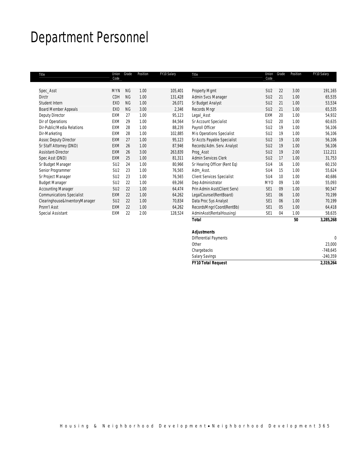## Department Personnel

| Title                            | Union<br>Code   | Grade     | Position | FY10 Salary | Title                             | Union<br>Code   | Grade | Position | FY10 Salary |
|----------------------------------|-----------------|-----------|----------|-------------|-----------------------------------|-----------------|-------|----------|-------------|
| Spec_Asst                        | <b>MYN</b>      | <b>NG</b> | 1.00     | 105,401     | <b>Property Mgmt</b>              | SU <sub>2</sub> | 22    | 3.00     | 191,165     |
| <b>Dirctr</b>                    | CDH             | <b>NG</b> | 1.00     | 131,428     | Admin Svcs Manager                | SU <sub>2</sub> | 21    | 1.00     | 65,535      |
| Student Intern                   | EX <sub>0</sub> | <b>NG</b> | 1.00     | 26,071      | Sr Budget Analyst                 | SU <sub>2</sub> | 21    | 1.00     | 53,534      |
| <b>Board Member Appeals</b>      | EXO             | <b>NG</b> | 3.00     | 2,346       | Records Mngr                      | SU <sub>2</sub> | 21    | 1.00     | 65,535      |
| Deputy Director                  | EXM             | 27        | 1.00     | 95,123      | Legal_Asst                        | EXM             | 20    | 1.00     | 54,932      |
| Dir of Operations                | EXM             | 29        | 1.00     | 84,564      | Sr Account Specialist             | SU <sub>2</sub> | 20    | 1.00     | 60,635      |
| Dir-Public/Media Relations       | EXM             | 28        | 1.00     | 88,239      | Payroll Officer                   | SU <sub>2</sub> | 19    | 1.00     | 56,106      |
| Dir-Marketing                    | EXM             | 28        | 1.00     | 102,885     | Mis Operations Specialist         | SU <sub>2</sub> | 19    | 1.00     | 56,106      |
| <b>Assoc Deputy Director</b>     | <b>EXM</b>      | 27        | 1.00     | 95,123      | Sr Accts Payable Specialist       | SU <sub>2</sub> | 19    | 1.00     | 56,106      |
| Sr Staff Attorney (DND)          | <b>EXM</b>      | 26        | 1.00     | 87,946      | Records/Adm. Serv. Analyst        | SU <sub>2</sub> | 19    | 1.00     | 56,106      |
| <b>Assistant-Director</b>        | <b>EXM</b>      | 26        | 3.00     | 263,839     | Proq_Asst                         | SU <sub>2</sub> | 19    | 2.00     | 112,211     |
| Spec Asst (DND)                  | <b>EXM</b>      | 25        | 1.00     | 81,311      | <b>Admin Services Clerk</b>       | SU <sub>2</sub> | 17    | 1.00     | 31,753      |
| Sr Budget Manager                | SU <sub>2</sub> | 24        | 1.00     | 80,966      | Sr Hearing Officer (Rent Eq)      | SU4             | 16    | 1.00     | 60,150      |
| Senior Programmer                | SU <sub>2</sub> | 23        | 1.00     | 76,565      | Adm_Asst.                         | SU4             | 15    | 1.00     | 55,624      |
| Sr Project Manager               | SU <sub>2</sub> | 23        | 1.00     | 76,565      | <b>Client Services Specialist</b> | SU4             | 10    | 1.00     | 40,686      |
| <b>Budget Manager</b>            | SU <sub>2</sub> | 22        | 1.00     | 69,266      | Dep Administrator                 | <b>MYO</b>      | 09    | 1.00     | 55,093      |
| <b>Accounting Manager</b>        | SU <sub>2</sub> | 22        | 1.00     | 64,474      | Prin Admin Asst(Client Serv)      | SE <sub>1</sub> | 09    | 1.00     | 90,547      |
| <b>Communications Specialist</b> | EXM             | 22        | 1.00     | 64,262      | LegalCounsel(RentBoard)           | SE <sub>1</sub> | 06    | 1.00     | 70,199      |
| Clearinghouse&InventoryManager   | SU <sub>2</sub> | 22        | 1.00     | 70,834      | Data Proc Sys Analyst             | SE <sub>1</sub> | 06    | 1.00     | 70,199      |
| Prsnn'l Asst                     | <b>EXM</b>      | 22        | 1.00     | 64,262      | RecordsMngr/Coord(RentBb)         | SE <sub>1</sub> | 05    | 1.00     | 64,418      |
| Special Assistant                | EXM             | 22        | 2.00     | 128,524     | AdminAsst(RentalHousing)          | SE <sub>1</sub> | 04    | 1.00     | 58,635      |
|                                  |                 |           |          |             | <b>Total</b>                      |                 |       | 50       | 3,285,268   |

| <b>FY10 Total Request</b>    | 2,319,264      |
|------------------------------|----------------|
|                              | $-240,359$     |
| Chargebacks                  | $-748,645$     |
| Other                        | 23,000         |
| <b>Differential Payments</b> |                |
| <b>Adjustments</b>           |                |
|                              | Salary Savings |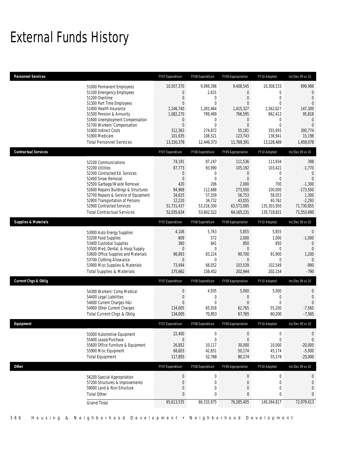# External Funds History

| <b>Personnel Services</b>                                                                                                                                                                                                                                                                                          | FY07 Expenditure                                                           | FY08 Expenditure                                                                                                                                                                               | FY09 Appropriation                                                                                                                   | FY10 Adopted                                                                                                                                        | Inc/Dec 09 vs 10                                                                                                              |
|--------------------------------------------------------------------------------------------------------------------------------------------------------------------------------------------------------------------------------------------------------------------------------------------------------------------|----------------------------------------------------------------------------|------------------------------------------------------------------------------------------------------------------------------------------------------------------------------------------------|--------------------------------------------------------------------------------------------------------------------------------------|-----------------------------------------------------------------------------------------------------------------------------------------------------|-------------------------------------------------------------------------------------------------------------------------------|
| 51000 Permanent Employees<br>51100 Emergency Employees<br>51200 Overtime<br>51300 Part Time Employees<br>51400 Health Insurance<br>51500 Pension & Annunity<br>51600 Unemployment Compensation<br>51700 Workers' Compensation<br>51800 Indirect Costs<br>51900 Medicare<br><b>Total Personnel Services</b>         | 10,507,370<br>1,146,740<br>1,082,270<br>312,363<br>101,635<br>13,150,378   | 9,998,396<br>0<br>2,631<br>0<br>$\mathbf{0}$<br>$\overline{0}$<br>$\mathbf 0$<br>1,265,464<br>799,489<br>0<br>$\mathbf 0$<br>$\overline{0}$<br>$\mathbf 0$<br>274,872<br>108,521<br>12,449,373 | 9,408,545<br>0<br>$\overline{0}$<br>$\overline{0}$<br>1,415,327<br>766,595<br>0<br>$\overline{0}$<br>55,181<br>123,743<br>11,769,391 | 10,308,533<br>$\overline{0}$<br>$\overline{0}$<br>$\overline{0}$<br>1,562,627<br>862,413<br>0<br>$\overline{0}$<br>355,955<br>138,941<br>13,228,469 | 899,988<br>0<br>$\overline{0}$<br>$\Omega$<br>147,300<br>95,818<br>$\mathbf{0}$<br>$\Omega$<br>300,774<br>15,198<br>1,459,078 |
| <b>Contractual Services</b>                                                                                                                                                                                                                                                                                        | FY07 Expenditure                                                           | FY08 Expenditure                                                                                                                                                                               | FY09 Appropriation                                                                                                                   | FY10 Adopted                                                                                                                                        | Inc/Dec 09 vs 10                                                                                                              |
| 52100 Communications<br>52200 Utilities<br>52300 Contracted Ed. Services<br>52400 Snow Removal<br>52500 Garbage/Waste Removal<br>52600 Repairs Buildings & Structures<br>52700 Repairs & Service of Equipment<br>52800 Transportation of Persons<br>52900 Contracted Services<br><b>Total Contractual Services</b> | 74,191<br>87,773<br>94,968<br>34,625<br>12,220<br>51,731,437<br>52,035,634 | 87,247<br>93,990<br>0<br>0<br>$\mathbf 0$<br>$\theta$<br>420<br>206<br>112,688<br>57,359<br>34,732<br>53,216,300<br>53,602,522                                                                 | 111,536<br>105,192<br>$\mathbf 0$<br>$\overline{0}$<br>2,000<br>273,500<br>56,753<br>43,055<br>63,573,095<br>64, 165, 131            | 111,934<br>103,422<br>$\mathbf 0$<br>$\overline{0}$<br>700<br>100,000<br>58,053<br>40,762<br>135,303,950<br>135,718,821                             | 398<br>$-1,770$<br>$\theta$<br>$\overline{0}$<br>$-1,300$<br>$-173,500$<br>1,300<br>$-2,293$<br>71,730,855<br>71,553,690      |
| <b>Supplies &amp; Materials</b>                                                                                                                                                                                                                                                                                    | FY07 Expenditure                                                           | FY08 Expenditure                                                                                                                                                                               | FY09 Appropriation                                                                                                                   | FY10 Adopted                                                                                                                                        | Inc/Dec 09 vs 10                                                                                                              |
| 53000 Auto Energy Supplies<br>53200 Food Supplies<br>53400 Custodial Supplies<br>53500 Med, Dental, & Hosp Supply<br>53600 Office Supplies and Materials<br>53700 Clothing Allowance<br>53900 Misc Supplies & Materials<br><b>Total Supplies &amp; Materials</b>                                                   | 96,893<br>73,494<br>175,662                                                | 4,106<br>5,763<br>809<br>572<br>360<br>841<br>$\overline{0}$<br>$\mathbf{0}$<br>83,224<br>$\theta$<br>$\mathbf 0$<br>68,052<br>158,452                                                         | 5,855<br>2,000<br>850<br>$\overline{0}$<br>90,700<br>0<br>103,539<br>202,944                                                         | 5,855<br>1,000<br>850<br>$\overline{0}$<br>91,900<br>0<br>102,549<br>202,154                                                                        | $\mathbf 0$<br>$-1,000$<br>$\mathbf{0}$<br>$\mathbf 0$<br>1,200<br>$\overline{0}$<br>$-990$<br>$-790$                         |
| <b>Current Chgs &amp; Oblig</b>                                                                                                                                                                                                                                                                                    | FY07 Expenditure                                                           | FY08 Expenditure                                                                                                                                                                               | FY09 Appropriation                                                                                                                   | FY10 Adopted                                                                                                                                        | Inc/Dec 09 vs 10                                                                                                              |
| 54300 Workers' Comp Medical<br>54400 Legal Liabilities<br>54600 Current Charges H&I<br>54900 Other Current Charges<br>Total Current Chgs & Oblig                                                                                                                                                                   | 134,005<br>134,005                                                         | 0<br>4,935<br>0<br>$\mathbf 0$<br>$\theta$<br>0<br>65,918<br>70,853                                                                                                                            | 5,000<br>$\overline{0}$<br>$\overline{0}$<br>62,765<br>67,765                                                                        | 5,000<br>0<br>$\overline{0}$<br>55,200<br>60,200                                                                                                    | 0<br>$\overline{0}$<br>$\mathbf{0}$<br>$-7,565$<br>$-7,565$                                                                   |
| Eauipment                                                                                                                                                                                                                                                                                                          | FY07 Expenditure                                                           | FY08 Expenditure                                                                                                                                                                               | <b>FY09 Annropriation</b>                                                                                                            | FY10 Adopted                                                                                                                                        | Inc/Dec 09 vs 10                                                                                                              |
| 55000 Automotive Equipment<br>55400 Lease/Purchase<br>55600 Office Furniture & Equipment<br>55900 Misc Equipment<br><b>Total Equipment</b>                                                                                                                                                                         | 22,400<br>26,852<br>68,603<br>117,855                                      | $\boldsymbol{0}$<br>0<br>$\mathbf 0$<br>10,117<br>42,651<br>52,768                                                                                                                             | 0<br>$\overline{0}$<br>30,000<br>50,174<br>80,174                                                                                    | 0<br>$\overline{0}$<br>10,000<br>45,174<br>55,174                                                                                                   | $\mathbf 0$<br>$\overline{0}$<br>$-20,000$<br>$-5,000$<br>$-25,000$                                                           |
| <b>Other</b>                                                                                                                                                                                                                                                                                                       | FY07 Expenditure                                                           | FY08 Expenditure                                                                                                                                                                               | FY09 Appropriation                                                                                                                   | FY10 Adopted                                                                                                                                        | Inc/Dec 09 vs 10                                                                                                              |
| 56200 Special Appropriation<br>57200 Structures & Improvements<br>58000 Land & Non-Structure<br><b>Total Other</b><br><b>Grand Total</b>                                                                                                                                                                           | 65,613,535                                                                 | $\overline{0}$<br>$\boldsymbol{0}$<br>$\mathbf 0$<br>$\boldsymbol{0}$<br>$\boldsymbol{0}$<br>0<br>0<br>$\pmb{0}$<br>66,333,975                                                                 | $\boldsymbol{0}$<br>$\boldsymbol{0}$<br>$\mathbf 0$<br>0<br>76,285,405                                                               | $\boldsymbol{0}$<br>$\boldsymbol{0}$<br>$\mathbf 0$<br>0<br>149,264,817                                                                             | $\mathbf 0$<br>$\mathbf 0$<br>$\boldsymbol{0}$<br>$\mathbf{0}$<br>72,979,413                                                  |
|                                                                                                                                                                                                                                                                                                                    |                                                                            |                                                                                                                                                                                                |                                                                                                                                      |                                                                                                                                                     |                                                                                                                               |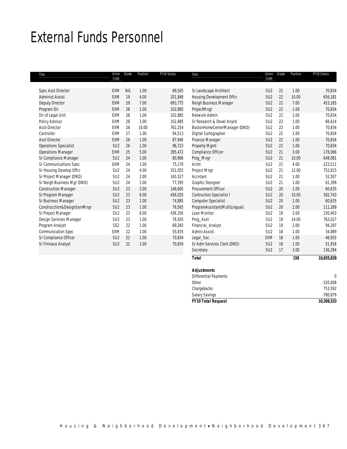## External Funds Personnel

| Title                        | Union<br>Code   | Grade     | Position | FY10 Salary | Title                           | Union<br>Code   | Grade | Position | FY10 Salary |
|------------------------------|-----------------|-----------|----------|-------------|---------------------------------|-----------------|-------|----------|-------------|
| <b>Spec Asst Director</b>    | <b>FXM</b>      | <b>NG</b> | 1.00     | 69,505      | Sr Landscape Architect          | SU <sub>2</sub> | 22    | 1.00     | 70,834      |
| Administ Assist              | <b>FXM</b>      | 19        | 4.00     | 201,848     | Housing Development Offcr       | SU <sub>2</sub> | 22    | 10.00    | 656,181     |
| <b>Deputy Director</b>       | <b>EXM</b>      | 29        | 7.00     | 693,775     | Neigh Business Manager          | SU <sub>2</sub> | 22    | 7.00     | 453,165     |
| Program Dir                  | <b>EXM</b>      | 28        | 1.00     | 102,885     | ProjectMngr                     | SU <sub>2</sub> | 22    | 1.00     | 70,834      |
| Dir of Legal Unit            | <b>EXM</b>      | 28        | 1.00     | 102,885     | Network Admin                   | SU <sub>2</sub> | 22    | 1.00     | 70,834      |
| Policy Advisor               | <b>EXM</b>      | 28        | 1.00     | 102,885     | Sr Research & Devel Anylst      | SU <sub>2</sub> | 22    | 1.00     | 66,614      |
| Asst-Director                | <b>EXM</b>      | 26        | 10.00    | 762,254     | BostonHomeCenterManager (DND)   | SU <sub>2</sub> | 22    | 1.00     | 70,834      |
| Controller                   | EXM             | 27        | 1.00     | 94,513      | Digital Cartographer            | SU <sub>2</sub> | 22    | 1.00     | 70,834      |
| <b>Asst Director</b>         | <b>EXM</b>      | 26        | 1.00     | 87,946      | <b>Finance Manager</b>          | SU <sub>2</sub> | 22    | 1.00     | 70,834      |
| <b>Operations Specialist</b> | SU <sub>2</sub> | 26        | 1.00     | 96,723      | Property Mgmt                   | SU <sub>2</sub> | 22    | 1.00     | 70,834      |
| <b>Operations Manager</b>    | <b>EXM</b>      | 25        | 5.00     | 395,472     | Compliance Officer              | SU <sub>2</sub> | 21    | 3.00     | 176,066     |
| Sr Compliance Manager        | SU <sub>2</sub> | 24        | 1.00     | 80,966      | Prog_Mngr                       | SU <sub>2</sub> | 21    | 10.00    | 648,081     |
| Sr Communications Spec       | <b>EXM</b>      | 24        | 1.00     | 75,176      | Archt                           | SU <sub>2</sub> | 21    | 4.00     | 223,511     |
| Sr Housing Develop Offcr     | SU <sub>2</sub> | 24        | 4.00     | 331,055     | Project Mngr                    | SU <sub>2</sub> | 21    | 12.00    | 752,815     |
| Sr Project Manager (DND)     | SU <sub>2</sub> | 24        | 2.00     | 165,527     | Accntant                        | SU <sub>2</sub> | 21    | 1.00     | 52,507      |
| Sr Neigh Business Mgr (DND)  | SU <sub>2</sub> | 24        | 1.00     | 77,395      | Graphic Designer                | SU <sub>2</sub> | 21    | 1.00     | 61,399      |
| <b>Construction Manager</b>  | SU <sub>2</sub> | 23        | 2.00     | 148,600     | Procurement Officer             | SU <sub>2</sub> | 20    | 1.00     | 60,635      |
| Sr Program Manager           | SU <sub>2</sub> | 23        | 6.00     | 456,029     | <b>Contruction Specialist I</b> | SU <sub>2</sub> | 20    | 10.00    | 582,743     |
| Sr Business Manager          | SU <sub>2</sub> | 23        | 1.00     | 74,885      | <b>Computer Specialist</b>      | SU <sub>2</sub> | 20    | 1.00     | 60,635      |
| Construcction&DesignServMngr | SU <sub>2</sub> | 23        | 1.00     | 76,565      | ProgramAssistant(MultiLingual)  | SU <sub>2</sub> | 20    | 2.00     | 111,289     |
| Sr Project Manager           | SU <sub>2</sub> | 23        | 6.00     | 436,356     | Loan Monitor                    | SU <sub>2</sub> | 19    | 3.00     | 150,403     |
| Design Services Manager      | SU <sub>2</sub> | 23        | 1.00     | 76,565      | Proq_Asst                       | SU <sub>2</sub> | 19    | 14.00    | 763,027     |
| Program Analyst              | SE <sub>2</sub> | 22        | 1.00     | 69,265      | Financial Analyst               | SU <sub>2</sub> | 19    | 2.00     | 94,297      |
| <b>Communication Spec</b>    | EXM             | 22        | 1.00     | 55,835      | Admin.Assist.                   | SU <sub>2</sub> | 18    | 1.00     | 34,889      |
| Sr Compliance Officer        | SU <sub>2</sub> | 22        | 1.00     | 70,834      | Legal_Sec                       | <b>EXM</b>      | 18    | 1.00     | 46,955      |
| Sr Fininace Analyst          | SU <sub>2</sub> | 22        | 1.00     | 70,834      | Sr Adm Services Clerk (DND)     | SU <sub>2</sub> | 18    | 1.00     | 51,916      |
|                              |                 |           |          |             | Secretary                       | SU <sub>2</sub> | 17    | 3.00     | 136,284     |

*Total 158 10,655,828*

|                              | 10,308,533                                  |
|------------------------------|---------------------------------------------|
|                              | $-780,879$                                  |
| Chargebacks                  | 753,592                                     |
| Other                        | $-320,008$                                  |
| <b>Differential Payments</b> |                                             |
| <b>Adjustments</b>           |                                             |
|                              | <b>Salary Savings</b><br>FY10 Total Request |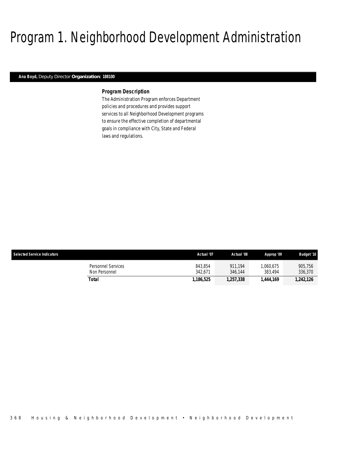## Program 1. Neighborhood Development Administration

### *Ana Boyd, Deputy Director Organization: 188100*

### *Program Description*

The Administration Program enforces Department policies and procedures and provides support services to all Neighborhood Development programs to ensure the effective completion of departmental goals in compliance with City, State and Federal laws and regulations.

| <b>Selected Service Indicators</b>  | Actual '07         | Actual '08         | Approp '09           | <b>Budget '10</b>  |
|-------------------------------------|--------------------|--------------------|----------------------|--------------------|
| Personnel Services<br>Non Personnel | 843.854<br>342.671 | 911.194<br>346.144 | 1.060.675<br>383.494 | 905.756<br>336,370 |
| Total                               | 1.186.525          | 1,257,338          | 1.444.169            | 1,242,126          |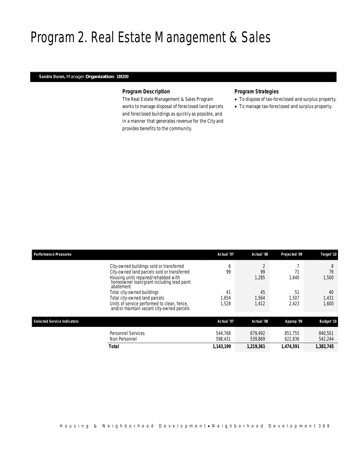## Program 2. Real Estate Management & Sales

## *Sandra Duran, Manager Organization: 188200*

## *Program Description*

The Real Estate Management & Sales Program works to manage disposal of foreclosed land parcels and foreclosed buildings as quickly as possible, and in a manner that generates revenue for the City and provides benefits to the community.

## *Program Strategies*

- To dispose of tax-foreclosed and surplus property.
- To manage tax-foreclosed and surplus property.

| <b>Performance Measures</b>        |                                                                                                                                                                                           | Actual '07          | Actual '08           | Projected '09        | Target '10           |
|------------------------------------|-------------------------------------------------------------------------------------------------------------------------------------------------------------------------------------------|---------------------|----------------------|----------------------|----------------------|
|                                    | City-owned buildings sold or transferred<br>City-owned land parcels sold or transferred<br>Housing units repaired/rehabbed with<br>homeowner loan/grant including lead paint<br>abatement | O<br>99             | 99<br>1,285          | 1.640                | 8<br>79<br>,500      |
|                                    | Total city-owned buildings<br>Total city-owned land parcels<br>Units of service performed to clean, fence,<br>and/or maintain vacant city-owned parcels                                   | 41<br>.654<br>1.528 | 45<br>1,564<br>1,412 | 51<br>1.507<br>2.423 | 40<br>1,431<br>1,600 |
| <b>Selected Service Indicators</b> |                                                                                                                                                                                           | Actual '07          | Actual '08           | Approp '09           | <b>Budget '10</b>    |
|                                    | Personnel Services<br>Non Personnel                                                                                                                                                       | 544.768<br>598,431  | 679.492<br>539,869   | 851.755<br>622,836   | 840,501<br>542,244   |
|                                    | <b>Total</b>                                                                                                                                                                              | 1,143,199           | 1,219,361            | 1,474,591            | 1,382,745            |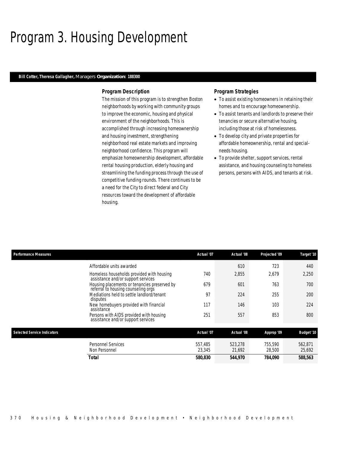## Program 3. Housing Development

### *Bill Cotter, Theresa Gallagher, Managers Organization: 188300*

### *Program Description*

The mission of this program is to strengthen Boston neighborhoods by working with community groups to improve the economic, housing and physical environment of the neighborhoods. This is accomplished through increasing homeownership and housing investment, strengthening neighborhood real estate markets and improving neighborhood confidence. This program will emphasize homeownership development, affordable rental housing production, elderly housing and streamlining the funding process through the use of competitive funding rounds. There continues to be a need for the City to direct federal and City resources toward the development of affordable housing.

### *Program Strategies*

- To assist existing homeowners in retaining their homes and to encourage homeownership.
- To assist tenants and landlords to preserve their tenancies or secure alternative housing, including those at risk of homelessness.
- To develop city and private properties for affordable homeownership, rental and specialneeds housing.
- To provide shelter, support services, rental assistance, and housing counseling to homeless persons, persons with AIDS, and tenants at risk.

| <b>Performance Measures</b>        |                                                                                     | Actual '07        | Actual '08        | Projected '09     | Target '10        |
|------------------------------------|-------------------------------------------------------------------------------------|-------------------|-------------------|-------------------|-------------------|
|                                    | Affordable units awarded                                                            |                   | 610               | 723               | 440               |
|                                    | Homeless households provided with housing<br>assistance and/or support services     | 740               | 2,855             | 2,679             | 2,250             |
|                                    | Housing placements or tenancies preserved by<br>referral to housing counseling orgs | 679               | 601               | 763               | 700               |
|                                    | Mediations held to settle landlord/tenant<br>disputes                               | 97                | 224               | 255               | 200               |
|                                    | New homebuyers provided with financial<br>assistance                                | 117               | 146               | 103               | 224               |
|                                    | Persons with AIDS provided with housing<br>assistance and/or support services       | 251               | 557               | 853               | 800               |
| <b>Selected Service Indicators</b> |                                                                                     | Actual '07        | Actual '08        | Approp '09        | <b>Budget '10</b> |
|                                    | <b>Personnel Services</b><br>Non Personnel                                          | 557.485<br>23,345 | 523,278<br>21,692 | 755,590<br>28,500 | 562,871<br>25,692 |
|                                    | Total                                                                               | 580,830           | 544,970           | 784,090           | 588,563           |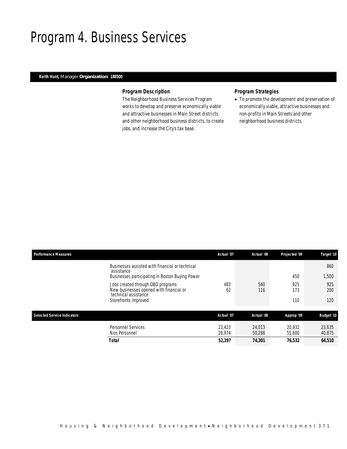## Program 4. Business Services

## *Keith Hunt, Manager Organization: 188500*

## *Program Description*

The Neighborhood Business Services Program works to develop and preserve economically viable and attractive businesses in Main Street districts and other neighborhood business districts, to create jobs, and increase the City's tax base.

## *Program Strategies*

• To promote the development and preservation of economically viable, attractive businesses and non-profits in Main Streets and other neighborhood business districts.

| <b>Performance Measures</b>        |                                                                                                                  | Actual '07       | Actual '08       | Projected '09    | Target '10       |
|------------------------------------|------------------------------------------------------------------------------------------------------------------|------------------|------------------|------------------|------------------|
|                                    | Businesses assisted with financial or technical<br>assistance<br>Businesses participating in Boston Buying Power |                  |                  | 450              | 860<br>1,500     |
|                                    | Jobs created through OBD programs<br>New businesses opened with financial or<br>technical assistance             | 483<br>62        | 540<br>116       | 925<br>173       | 925<br>200       |
|                                    | Storefronts improved                                                                                             |                  |                  | 110              | 120              |
| <b>Selected Service Indicators</b> |                                                                                                                  | Actual '07       | Actual '08       | Approp '09       | Budget '10       |
|                                    | Personnel Services<br>Non Personnel                                                                              | 23.423<br>28.974 | 24.013<br>50.288 | 20.932<br>55,600 | 23,635<br>40,875 |
|                                    | Total                                                                                                            | 52,397           | 74,301           | 76,532           | 64,510           |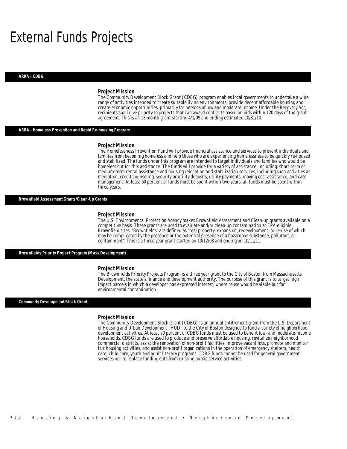## External Funds Projects

#### *ARRA - CDBG*

#### *Project Mission*

The Community Development Block Grant (CDBG) program enables local governments to undertake a wide range of activities intended to create suitable living environments, provide decent affordable housing and create economic opportunities, primarily for persons of low and moderate income. Under the Recovery Act, recipients shall give priority to projects that can award contracts based on bids within 120 days of the grant agreement. This is an 18 month grant starting 4/1/09 and ending estimated 10/31/10.

#### *ARRA - Homeless Prevention and Rapid Re-housing Program*

#### *Project Mission*

The Homelessness Prevention Fund will provide financial assistance and services to prevent individuals and families from becoming homeless and help those who are experiencing homelessness to be quickly re-housed and stabilized. The funds under this program are intended to target individuals and families who would be homeless but for this assistance. The funds will provide for a variety of assistance, including: short-term or medium-term rental assistance and housing relocation and stabilization services, including such activities as mediation, credit counseling, security or utility deposits, utility payments, moving cost assistance, and case management. At least 60 percent of funds must be spent within two years; all funds must be spent within three years.

*Brownfield Assessment Grants/Clean-Up Grants* 

#### *Project Mission*

The U.S. Environmental Protection Agency makes Brownfield Assessment and Clean-up grants available on a competitive basis. These grants are used to evaluate and/or clean-up contamination at EPA-eligible Brownfield sites. "Brownfields" are defined as "real property, expansion, redevelopment, or re-use of which may be complicated by the presence or the potential presence of a hazardous substance, pollutant, or contaminant". This is a three year grant started on 10/12/08 and ending on 10/11/11.

*Brownfields Priority Project Program (Mass Development)* 

#### *Project Mission*

The Brownfields Priority Projects Program is a three year grant to the City of Boston from Massachusetts Development, the state's finance and development authority. The purpose of this grant is to target high impact parcels in which a developer has expressed interest, where reuse would be viable but for environmental contamination.

#### *Community Development Block Grant*

#### *Project Mission*

The Community Development Block Grant (CDBG) is an annual entitlement grant from the U.S. Department of Housing and Urban Development (HUD) to the City of Boston designed to fund a variety of neighborhood development activities. At least 70 percent of CDBG funds must be used to benefit low- and moderate-income households. CDBG funds are used to produce and preserve affordable housing, revitalize neighborhood commercial districts, assist the renovation of non-profit facilities, improve vacant lots, promote and monitor fair housing activities, and assist non-profit organizations in the operation of emergency shelters, health care, child care, youth and adult literacy programs. CDBG funds cannot be used for general government services nor to replace funding cuts from existing public service activities.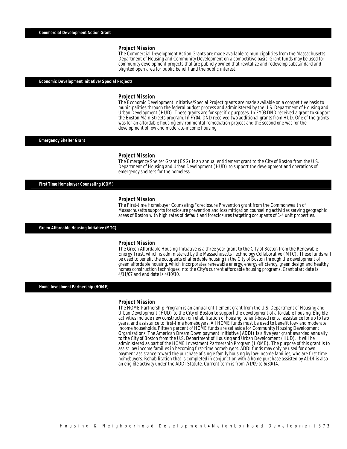The Commercial Development Action Grants are made available to municipalities from the Massachusetts Department of Housing and Community Development on a competitive basis. Grant funds may be used for community development projects that are publicly owned that revitalize and redevelop substandard and blighted open area for public benefit and the public interest.

### *Economic Development Initiative/ Special Projects*

#### *Project Mission*

The Economic Development Initiative/Special Project grants are made available on a competitive basis to municipalities through the federal budget process and administered by the U.S. Department of Housing and Urban Development (HUD). These grants are for specific purposes. In FY03 DND received a grant to support the Boston Main Streets program. In FY04, DND received two additional grants from HUD. One of the grants was for an affordable housing environmental remediation project and the second one was for the development of low and moderate-income housing.

#### *Emergency Shelter Grant*

#### *Project Mission*

The Emergency Shelter Grant (ESG) is an annual entitlement grant to the City of Boston from the U.S. Department of Housing and Urban Development (HUD) to support the development and operations of emergency shelters for the homeless.

#### *First Time Homebuyer Counseling (COM)*

#### *Project Mission*

The First-time Homebuyer Counseling/Foreclosure Prevention grant from the Commonwealth of Massachusetts supports foreclosure prevention and loss mitigation counseling activities serving geographic areas of Boston with high rates of default and foreclosures targeting occupants of 1-4 unit properties.

*Green Affordable Housing Initiative (MTC)* 

#### *Project Mission*

The Green Affordable Housing Initiative is a three year grant to the City of Boston from the Renewable Energy Trust, which is administered by the Massachusetts Technology Collaborative (MTC). These funds will be used to benefit the occupants of affordable housing in the City of Boston through the development of green affordable housing, which incorporates renewable energy, energy efficiency, green design and healthy homes construction techniques into the City's current affordable housing programs. Grant start date is 4/11/07 and end date is 4/10/10.

*Home Investment Partnership (HOME)* 

### *Project Mission*

The HOME Partnership Program is an annual entitlement grant from the U.S. Department of Housing and Urban Development (HUD) to the City of Boston to support the development of affordable housing. Eligible activities include new construction or rehabilitation of housing, tenant-based rental assistance for up to two years, and assistance to first-time homebuyers. All HOME funds must be used to benefit low- and moderate income households. Fifteen percent of HOME funds are set aside for Community Housing Development Organizations. The American Dream Down payment Initiative (ADDI) is a five year grant awarded annually to the City of Boston from the U.S. Department of Housing and Urban Development (HUD). It will be administered as part of the HOME Investment Partnership Program (HOME). The purpose of this grant is to assist low income families in becoming first-time homebuyers. ADDI funds may only be used for down payment assistance toward the purchase of single family housing by low-income families, who are first time homebuyers. Rehabilitation that is completed in conjunction with a home purchase assisted by ADDI is also an eligible activity under the ADDI Statute. Current term is from 7/1/09 to 6/30/14.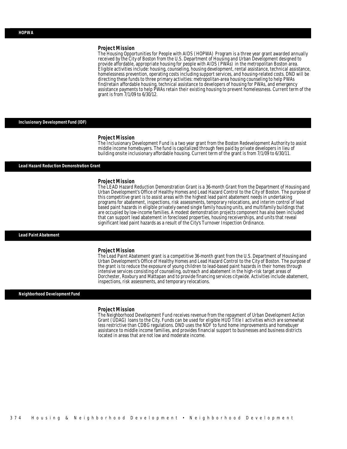The Housing Opportunities for People with AIDS (HOPWA) Program is a three year grant awarded annually received by the City of Boston from the U.S. Department of Housing and Urban Development designed to provide affordable, appropriate housing for people with AIDS (PWAs) in the metropolitan Boston area. Eligible activities include: housing, counseling, housing development, rental assistance, technical assistance, homelessness prevention, operating costs including support services, and housing-related costs. DND will be directing these funds to three primary activities: metropolitan-area housing counseling to help PWAs find/retain affordable housing, technical assistance to developers of housing for PWAs, and emergency assistance payments to help PWAs retain their existing housing to prevent homelessness. Current term of the grant is from 7/1/09 to 6/30/12.

#### *Inclusionary Development Fund (IDF)*

#### *Project Mission*

The Inclusionary Development Fund is a two year grant from the Boston Redevelopment Authority to assist middle income homebuyers. The fund is capitalized through fees paid by private developers in lieu of building onsite inclusionary affordable housing. Current term of the grant is from 7/1/09 to 6/30/11.

#### *Lead Hazard Reduction Demonstration Grant*

### *Project Mission*

The LEAD Hazard Reduction Demonstration Grant is a 36-month Grant from the Department of Housing and Urban Development's Office of Healthy Homes and Lead Hazard Control to the City of Boston. The purpose of this competitive grant is to assist areas with the highest lead paint abatement needs in undertaking programs for abatement, inspections, risk assessments, temporary relocations, and interim control of lead based paint hazards in eligible privately owned single family housing units, and multifamily buildings that are occupied by low-income families. A modest demonstration projects component has also been included that can support lead abatement in foreclosed properties, housing receiverships, and units that reveal significant lead paint hazards as a result of the City's Turnover Inspection Ordinance.

*Lead Paint Abatement* 

#### *Project Mission*

The Lead Paint Abatement grant is a competitive 36-month grant from the U.S. Department of Housing and Urban Development's Office of Healthy Homes and Lead Hazard Control to the City of Boston. The purpose of the grant is to reduce the exposure of young children to lead-based paint hazards in their homes through intensive services consisting of counseling, outreach and abatement in the high-risk target areas of Dorchester, Roxbury and Mattapan and to provide financing services citywide. Activities include abatement, inspections, risk assessments, and temporary relocations.

### *Neighborhood Development Fund*

#### *Project Mission*

The Neighborhood Development Fund receives revenue from the repayment of Urban Development Action Grant (UDAG) loans to the City. Funds can be used for eligible HUD Title I activities which are somewhat less restrictive than CDBG regulations. DND uses the NDF to fund home improvements and homebuyer assistance to middle income families, and provides financial support to businesses and business districts located in areas that are not low and moderate income.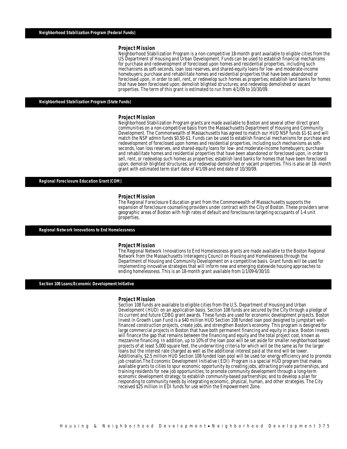Neighborhood Stabilization Program is a non-competitive 18-month grant available to eligible cities from the US Department of Housing and Urban Development. Funds can be used to establish financial mechanisms for purchase and redevelopment of foreclosed upon homes and residential properties, including such mechanisms as soft-seconds, loan loss reserves, and shared-equity loans for low- and moderate-income homebuyers; purchase and rehabilitate homes and residential properties that have been abandoned or foreclosed upon, in order to sell, rent, or redevelop such homes as properties; establish land banks for homes that have been foreclosed upon; demolish blighted structures; and redevelop demolished or vacant properties. The term of this grant is estimated to run from 4/1/09 to 10/30/09. Î

#### *Neighborhood Stabilization Program (State Funds)*

#### *Project Mission*

Neighborhood Stabilization Program grants are made available to Boston and several other direct grant communities on a non-competitive basis from the Massachusetts Department of Housing and Community Development. The Commonwealth of Massachusetts has agreed to match our HUD NSP funds \$1-\$1 and will match the NSP admin funds \$0.50-\$1. Funds can be used to establish financial mechanisms for purchase and redevelopment of foreclosed upon homes and residential properties, including such mechanisms as softseconds, loan loss reserves, and shared-equity loans for low- and moderate-income homebuyers; purchase and rehabilitate homes and residential properties that have been abandoned or foreclosed upon, in order to sell, rent, or redevelop such homes as properties; establish land banks for homes that have been foreclosed upon; demolish blighted structures; and redevelop demolished or vacant properties. This is also an 18- month grant with estimated term start date of 4/1/09 and end date of 10/30/09. Ì

### *Regional Foreclosure Education Grant (COM)*

#### *Project Mission*

The Regional Foreclosure Education grant from the Commonwealth of Massachusetts supports the expansion of foreclosure counseling providers under contract with the City of Boston. These providers serve geographic areas of Boston with high rates of default and foreclosures targeting occupants of 1-4 unit properties. Î

#### *Regional Network Innovations to End Homelessness*

#### *Project Mission*

The Regional Network Innovations to End Homelessness grants are made available to the Boston Regional Network from the Massachusetts Interagency Council on Housing and Homelessness through the Department of Housing and Community Development on a competitive basis. Grant funds will be used for implementing innovative strategies that will inform new and emerging statewide housing approaches to ending homelessness. This is an 18-month grant available from 1/1/09-6/30/10.

#### *Section 108 Loans/Economic Development Initiative*

*Project Mission*  Development (HUD) on an application basis. Section 108 funds are secured by the City through a pledge of its current and future CDBG grant awards. These funds are used for economic development projects. Boston Invest in Growth Loan Fund is a \$40 million HUD Section 108 funded loan pool designed to jumpstart wellfinanced construction projects, create jobs, and strengthen Boston's economy. This program is designed for large commercial projects in Boston that have both permanent financing and equity in place. Boston Invests will finance the gap that remains between the financing and equity and the total project cost, known as mezzanine financing. In addition, up to 10% of the loan pool will be set aside for smaller neighborhood based projects of at least 5,000 square feet, the underwriting criteria for which will be the same as for the larger loans but the interest rate charged as well as the additional interest paid at the end will be lower. Additionally, \$2.5 million HUD Section 108 funded loan pool will be used tor energy efficiency and to promote job creation.The Economic Development Initiative (EDI) Program is a special HUD program that makes available grants to cities to spur economic opportunity by creating jobs, attracting private partnerships, and training residents for new job opportunities; to promote community development through a long-term economic development strategy; to establish community-based partnerships; and to develop a plan for responding to community needs by integrating economic, physical, human, and other strategies. The City received \$25 million in EDI funds for use within the Empowerment Zone.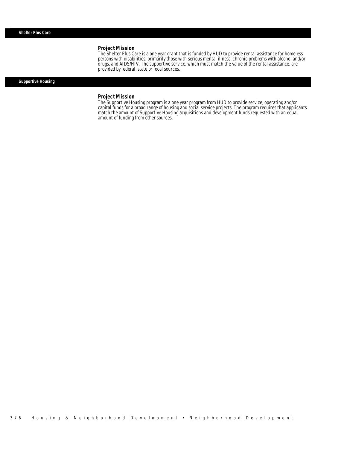The Shelter Plus Care is a one year grant that is funded by HUD to provide rental assistance for homeless persons with disabilities, primarily those with serious mental illness, chronic problems with alcohol and/or drugs, and AIDS/HIV. The supportive service, which must match the value of the rental assistance, are provided by federal, state or local sources.

## *Supportive Housing*

#### *Project Mission*

Î

The Supportive Housing program is a one year program from HUD to provide service, operating and/or capital funds for a broad range of housing and social service projects. The program requires that applicants match the amount of Supportive Housing acquisitions and development funds requested with an equal amount of funding from other sources.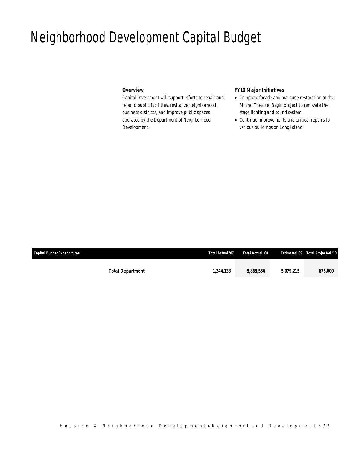## Neighborhood Development Capital Budget

## *Overview*

Capital investment will support efforts to repair and rebuild public facilities, revitalize neighborhood business districts, and improve public spaces operated by the Department of Neighborhood Development.

## *FY10 Major Initiatives*

- Complete façade and marquee restoration at the Strand Theatre. Begin project to renovate the stage lighting and sound system.
- Continue improvements and critical repairs to various buildings on Long Island.

| <b>Capital Budget Expenditures</b> |                         | <b>Total Actual '07</b> | Total Actual '08 |           | Estimated '09  Total Projected '10 |
|------------------------------------|-------------------------|-------------------------|------------------|-----------|------------------------------------|
|                                    |                         |                         |                  |           |                                    |
|                                    | <b>Total Department</b> | 1,244,138               | 5.865.556        | 5.079.215 | <i><b>675,000</b></i>              |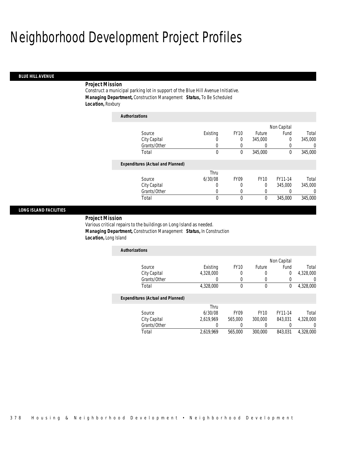## Neighborhood Development Project Profiles

### *BLUE HILL AVENUE*

### *Project Mission*

Construct a municipal parking lot in support of the Blue Hill Avenue Initiative. *Managing Department,* Construction Management *Status,* To Be Scheduled *Location,* Roxbury

| <b>Authorizations</b>                    |          |             |             |             |          |
|------------------------------------------|----------|-------------|-------------|-------------|----------|
|                                          |          |             |             | Non Capital |          |
| Source                                   | Existing | <b>FY10</b> | Future      | Fund        | Total    |
| City Capital                             | O        | 0           | 345,000     | 0           | 345,000  |
| Grants/Other                             | 0        | 0           | 0           | 0           | 0        |
| Total                                    | $\theta$ | 0           | 345,000     | 0           | 345,000  |
| <b>Expenditures (Actual and Planned)</b> |          |             |             |             |          |
|                                          | Thru     |             |             |             |          |
| Source                                   | 6/30/08  | <b>FY09</b> | <b>FY10</b> | FY11-14     | Total    |
| City Capital                             | 0        | 0           | 0           | 345,000     | 345,000  |
| Grants/Other                             | 0        | 0           | 0           | 0           | $\left($ |
| Total                                    | 0        | 0           | 0           | 345,000     | 345,000  |

### *LONG ISLAND FACILITIES*

*Project Mission* 

Various critical repairs to the buildings on Long Island as needed. *Managing Department,* Construction Management *Status,* In Construction *Location,* Long Island

| <b>Authorizations</b>             |           |             |        |             |           |
|-----------------------------------|-----------|-------------|--------|-------------|-----------|
|                                   |           |             |        | Non Capital |           |
| Source                            | Existing  | <b>FY10</b> | Future | Fund        | Total     |
| City Capital                      | 4,328,000 |             |        | 0           | 4,328,000 |
| Grants/Other                      |           |             |        |             |           |
| Total                             | 4,328,000 |             |        | 0           | 4,328,000 |
| Expanditurea (Actual and Diannad) |           |             |        |             |           |

## *Expenditures (Actual and Planned)*

|              | Thru      |                  |         |         |           |
|--------------|-----------|------------------|---------|---------|-----------|
| Source       | 6/30/08   | FY <sub>09</sub> | FY10    | FY11-14 | Total     |
| City Capital | 2.619.969 | 565,000          | 300,000 | 843.031 | 4.328.000 |
| Grants/Other |           |                  |         |         |           |
| Total        | 2.619.969 | 565,000          | 300,000 | 843.031 | 4.328.000 |